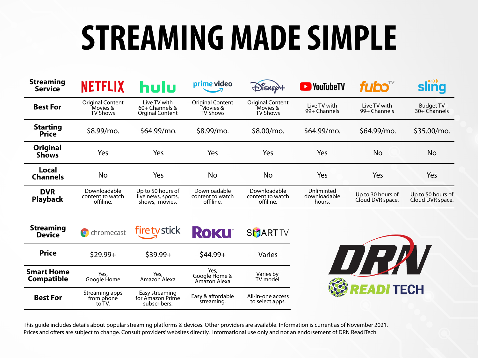## **STREAMING MADE SIMPLE**

| <b>Streaming</b><br><b>Service</b> | <b>NETFLIX</b>                                         | hulu                                                       | prime video                                            | $\bigoplus^{\mathcal{C}}_{\mathsf{ISNE}}$       | <b>Ex</b> YouTubeTV                  | fubo $\sqrt[n]{ }$                    | sling                                 |
|------------------------------------|--------------------------------------------------------|------------------------------------------------------------|--------------------------------------------------------|-------------------------------------------------|--------------------------------------|---------------------------------------|---------------------------------------|
| <b>Best For</b>                    | <b>Original Content</b><br>Movies &<br><b>TV Shows</b> | Live TV with<br>$60+$ Channels &<br><b>Orginal Content</b> | <b>Original Content</b><br>Movies &<br><b>TV Shows</b> | <b>Original Content</b><br>Movies &<br>TV Shows | Live TV with<br>99+ Channels         | Live TV with<br>99+ Channels          | <b>Budget TV</b><br>30+ Channels      |
| <b>Starting</b><br><b>Price</b>    | \$8.99/mo.                                             | \$64.99/mo.                                                | \$8.99/mo.                                             | \$8.00/mo.                                      | \$64.99/mo.                          | \$64.99/mo.                           | \$35.00/mo.                           |
| <b>Original</b><br><b>Shows</b>    | Yes                                                    | Yes                                                        | Yes                                                    | Yes                                             | Yes                                  | No                                    | <b>No</b>                             |
| Local<br><b>Channels</b>           | <b>No</b>                                              | Yes                                                        | No                                                     | No                                              | Yes                                  | Yes                                   | Yes                                   |
| <b>DVR</b><br><b>Playback</b>      | Downloadable<br>content to watch<br>offiline.          | Up to 50 hours of<br>live news, sports,<br>shows, movies.  | Downloadable<br>content to watch<br>offiline.          | Downloadable<br>content to watch<br>offiline.   | Unliminted<br>downloadable<br>hours. | Up to 30 hours of<br>Cloud DVR space. | Up to 50 hours of<br>Cloud DVR space. |

| <b>Streaming</b><br><b>Device</b>      | <b>O</b> chromecast                    | firetystick                                        | <b>ROKU</b>                           | <b>SMART TV</b>                      |
|----------------------------------------|----------------------------------------|----------------------------------------------------|---------------------------------------|--------------------------------------|
| <b>Price</b>                           | $$29.99+$                              | $$39.99+$                                          | $$44.99+$                             | Varies                               |
| <b>Smart Home</b><br><b>Compatible</b> | Yes,<br>Google Home                    | Yes,<br>Amazon Alexa                               | Yes,<br>Google Home &<br>Amazon Alexa | Varies by<br>TV model                |
| <b>Best For</b>                        | Streaming apps<br>from phone<br>to TV. | Easy streaming<br>for Amazon Prime<br>subscribers. | Easy & affordable<br>streaming.       | All-in-one access<br>to select apps. |



This guide includes details about popular streaming platforms & devices. Other providers are available. Information is current as of November 2021. Prices and offers are subject to change. Consult providers' websites directly. Informational use only and not an endorsement of DRN ReadiTech